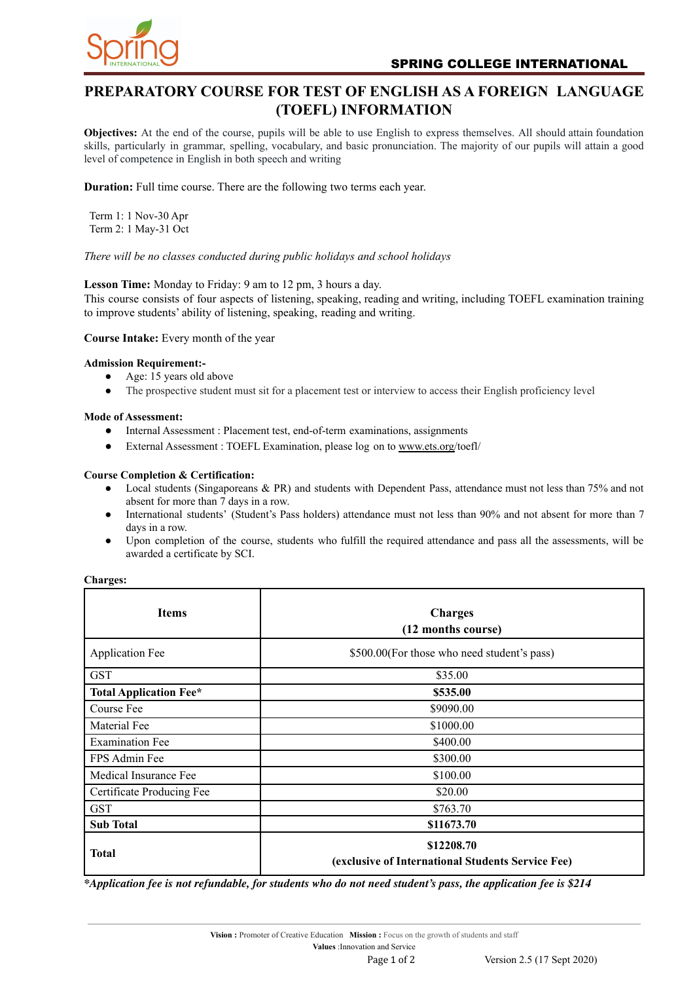

# **PREPARATORY COURSE FOR TEST OF ENGLISH AS A FOREIGN LANGUAGE (TOEFL) INFORMATION**

**Objectives:** At the end of the course, pupils will be able to use English to express themselves. All should attain foundation skills, particularly in grammar, spelling, vocabulary, and basic pronunciation. The majority of our pupils will attain a good level of competence in English in both speech and writing

**Duration:** Full time course. There are the following two terms each year.

Term 1: 1 Nov-30 Apr Term 2: 1 May-31 Oct

*There will be no classes conducted during public holidays and school holidays*

# **Lesson Time:** Monday to Friday: 9 am to 12 pm, 3 hours a day.

This course consists of four aspects of listening, speaking, reading and writing, including TOEFL examination training to improve students' ability of listening, speaking, reading and writing.

**Course Intake:** Every month of the year

#### **Admission Requirement:-**

- Age: 15 years old above
- The prospective student must sit for a placement test or interview to access their English proficiency level

#### **Mode of Assessment:**

- Internal Assessment : Placement test, end-of-term examinations, assignments
- External Assessment : TOEFL Examination, please log on to [www.ets.org/](http://www.ets.org)toefl/

#### **Course Completion & Certification:**

- Local students (Singaporeans & PR) and students with Dependent Pass, attendance must not less than 75% and not absent for more than 7 days in a row.
- International students' (Student's Pass holders) attendance must not less than 90% and not absent for more than 7 days in a row.
- Upon completion of the course, students who fulfill the required attendance and pass all the assessments, will be awarded a certificate by SCI.

| Charges |  |
|---------|--|
|         |  |

| <b>Items</b>                  | <b>Charges</b><br>(12 months course)                            |
|-------------------------------|-----------------------------------------------------------------|
| <b>Application Fee</b>        | \$500.00 (For those who need student's pass)                    |
| <b>GST</b>                    | \$35.00                                                         |
| <b>Total Application Fee*</b> | \$535.00                                                        |
| Course Fee                    | \$9090.00                                                       |
| Material Fee                  | \$1000.00                                                       |
| <b>Examination Fee</b>        | \$400.00                                                        |
| FPS Admin Fee                 | \$300.00                                                        |
| Medical Insurance Fee         | \$100.00                                                        |
| Certificate Producing Fee     | \$20.00                                                         |
| <b>GST</b>                    | \$763.70                                                        |
| <b>Sub Total</b>              | \$11673.70                                                      |
| <b>Total</b>                  | \$12208.70<br>(exclusive of International Students Service Fee) |

\*Application fee is not refundable, for students who do not need student's pass, the application fee is \$214